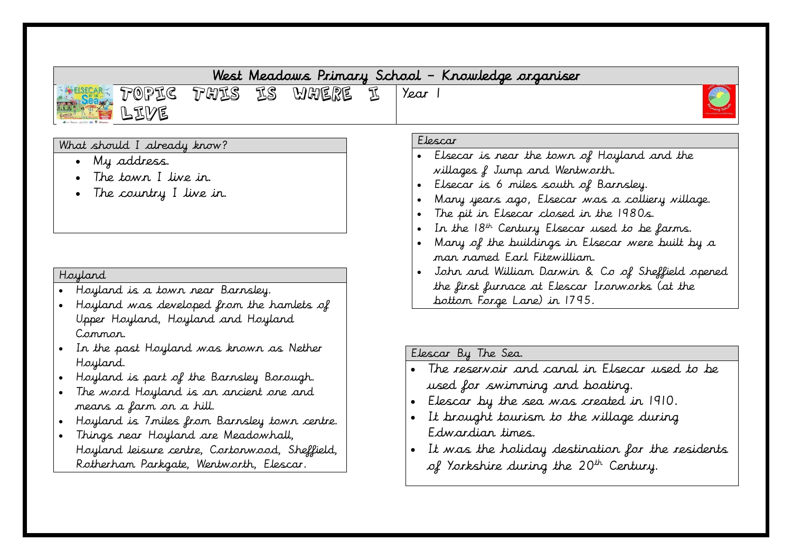| THES ES WHERE<br>${\mathcal{D}}$ Opt ${\mathcal{C}}$<br>LIVE                                                                                                                                                                                                                                                                                                                                                 | Year 1<br>$\pi$                                                                                                                                                                                                                                                                                                                                                                      |
|--------------------------------------------------------------------------------------------------------------------------------------------------------------------------------------------------------------------------------------------------------------------------------------------------------------------------------------------------------------------------------------------------------------|--------------------------------------------------------------------------------------------------------------------------------------------------------------------------------------------------------------------------------------------------------------------------------------------------------------------------------------------------------------------------------------|
| What should I already know?<br>My address.<br>The town I live in.<br>The country I live in.                                                                                                                                                                                                                                                                                                                  | Elescar<br>• Elsecar is near the town of Hoyland and the<br>villages f Jump and Wentworth.<br>Elsecar is 6 miles south of Barnsley.<br>Many years ago, Elsecar was a colliery village.<br>The pit in Elsecar closed in the 1980s.<br>$\bullet$<br>In the $18th$ Century Elsecar used to be farms.<br>Many of the buildings in Elsecar were built by a<br>man named Earl Fitzwilliam. |
| Hoyland<br>• Hoyland is a town near Barnsley.<br>• Hoyland was developed from the hamlets of<br>Upper Hoyland, Hoyland and Hoyland<br>Common.                                                                                                                                                                                                                                                                | John and William Darwin & Co of Sheffield opened<br>the first furnace at Elescar Ironworks (at the<br>bottom Forge Lane) in 1795.                                                                                                                                                                                                                                                    |
| In the past Hoyland was krown as Nether<br>$\bullet$<br>Hoyland.<br>Hoyland is part of the Barnsley Borough.<br>The word Hoyland is an ancient one and<br>$\bullet$<br>means a farm on a hill.<br>Hoyland is 7miles from Barnsley town centre.<br>$\bullet$<br>Things near Hoyland are Meadowhall,<br>$\bullet$<br>Hoyland leisure centre, Cortonwood, Sheffield,<br>Rotherham Parkgate, Wentworth, Elescar. | Elescar By The Sea.<br>The reservoir and canal in Elsecar used to be<br>used for swimming and boating.<br>• Elescar by the sea was created in 1910.<br>• It brought tourism to the village during<br>Edwardian times.<br>• It was the holiday destination for the residents<br>of Yorkshire during the 20 <sup>th</sup> Century.                                                     |